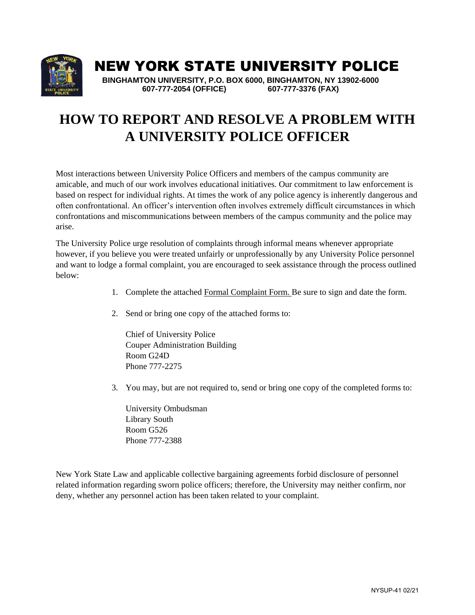

### NEW YORK STATE UNIVERSITY POLICE

 **BINGHAMTON UNIVERSITY, P.O. BOX 6000, BINGHAMTON, NY 13902-6000 607-777-2054 (OFFICE) 607-777-3376 (FAX)** 

## **HOW TO REPORT AND RESOLVE A PROBLEM WITH A UNIVERSITY POLICE OFFICER**

Most interactions between University Police Officers and members of the campus community are amicable, and much of our work involves educational initiatives. Our commitment to law enforcement is based on respect for individual rights. At times the work of any police agency is inherently dangerous and often confrontational. An officer's intervention often involves extremely difficult circumstances in which confrontations and miscommunications between members of the campus community and the police may arise.

The University Police urge resolution of complaints through informal means whenever appropriate however, if you believe you were treated unfairly or unprofessionally by any University Police personnel and want to lodge a formal complaint, you are encouraged to seek assistance through the process outlined below:

- 1. Complete the attached Formal Complaint Form. Be sure to sign and date the form.
- 2. Send or bring one copy of the attached forms to:

Chief of University Police Couper Administration Building Room G24D Phone 777-2275

3. You may, but are not required to, send or bring one copy of the completed forms to:

University Ombudsman Library South Room G526 Phone 777-2388

New York State Law and applicable collective bargaining agreements forbid disclosure of personnel related information regarding sworn police officers; therefore, the University may neither confirm, nor deny, whether any personnel action has been taken related to your complaint.